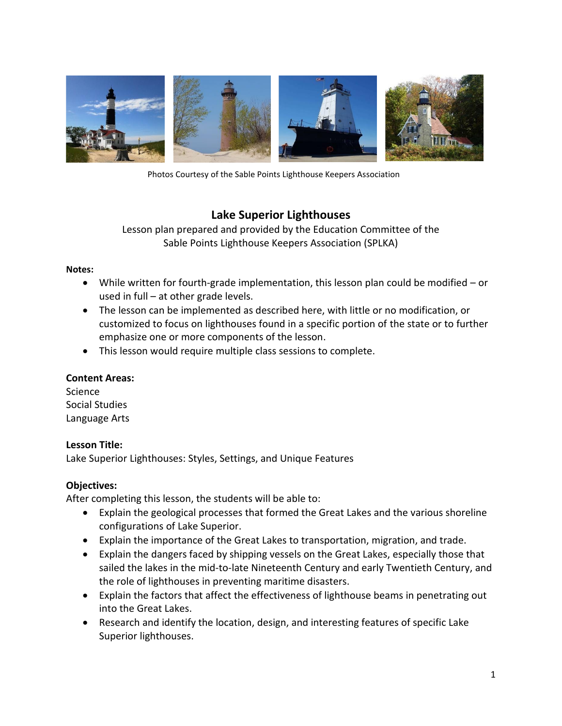

Photos Courtesy of the Sable Points Lighthouse Keepers Association

# **Lake Superior Lighthouses**

Lesson plan prepared and provided by the Education Committee of the Sable Points Lighthouse Keepers Association (SPLKA)

### **Notes:**

- While written for fourth-grade implementation, this lesson plan could be modified or used in full – at other grade levels.
- The lesson can be implemented as described here, with little or no modification, or customized to focus on lighthouses found in a specific portion of the state or to further emphasize one or more components of the lesson.
- This lesson would require multiple class sessions to complete.

## **Content Areas:**

Science Social Studies Language Arts

## **Lesson Title:**

Lake Superior Lighthouses: Styles, Settings, and Unique Features

## **Objectives:**

After completing this lesson, the students will be able to:

- Explain the geological processes that formed the Great Lakes and the various shoreline configurations of Lake Superior.
- Explain the importance of the Great Lakes to transportation, migration, and trade.
- Explain the dangers faced by shipping vessels on the Great Lakes, especially those that sailed the lakes in the mid-to-late Nineteenth Century and early Twentieth Century, and the role of lighthouses in preventing maritime disasters.
- Explain the factors that affect the effectiveness of lighthouse beams in penetrating out into the Great Lakes.
- Research and identify the location, design, and interesting features of specific Lake Superior lighthouses.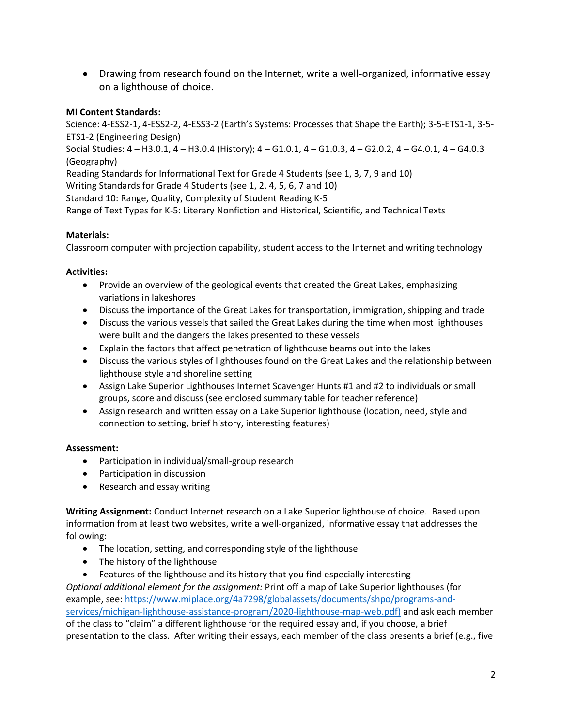• Drawing from research found on the Internet, write a well-organized, informative essay on a lighthouse of choice.

## **MI Content Standards:**

Science: 4-ESS2-1, 4-ESS2-2, 4-ESS3-2 (Earth's Systems: Processes that Shape the Earth); 3-5-ETS1-1, 3-5- ETS1-2 (Engineering Design) Social Studies: 4 – H3.0.1, 4 – H3.0.4 (History); 4 – G1.0.1, 4 – G1.0.3, 4 – G2.0.2, 4 – G4.0.1, 4 – G4.0.3 (Geography) Reading Standards for Informational Text for Grade 4 Students (see 1, 3, 7, 9 and 10) Writing Standards for Grade 4 Students (see 1, 2, 4, 5, 6, 7 and 10) Standard 10: Range, Quality, Complexity of Student Reading K-5 Range of Text Types for K-5: Literary Nonfiction and Historical, Scientific, and Technical Texts

## **Materials:**

Classroom computer with projection capability, student access to the Internet and writing technology

## **Activities:**

- Provide an overview of the geological events that created the Great Lakes, emphasizing variations in lakeshores
- Discuss the importance of the Great Lakes for transportation, immigration, shipping and trade
- Discuss the various vessels that sailed the Great Lakes during the time when most lighthouses were built and the dangers the lakes presented to these vessels
- Explain the factors that affect penetration of lighthouse beams out into the lakes
- Discuss the various styles of lighthouses found on the Great Lakes and the relationship between lighthouse style and shoreline setting
- Assign Lake Superior Lighthouses Internet Scavenger Hunts #1 and #2 to individuals or small groups, score and discuss (see enclosed summary table for teacher reference)
- Assign research and written essay on a Lake Superior lighthouse (location, need, style and connection to setting, brief history, interesting features)

## **Assessment:**

- Participation in individual/small-group research
- Participation in discussion
- Research and essay writing

**Writing Assignment:** Conduct Internet research on a Lake Superior lighthouse of choice. Based upon information from at least two websites, write a well-organized, informative essay that addresses the following:

- The location, setting, and corresponding style of the lighthouse
- The history of the lighthouse
- Features of the lighthouse and its history that you find especially interesting

*Optional additional element for the assignment:* Print off a map of Lake Superior lighthouses (for example, see: [https://www.miplace.org/4a7298/globalassets/documents/shpo/programs-and](https://www.miplace.org/4a7298/globalassets/documents/shpo/programs-and-services/michigan-lighthouse-assistance-program/2020-lighthouse-map-web.pdf)[services/michigan-lighthouse-assistance-program/2020-lighthouse-map-web.pdf\)](https://www.miplace.org/4a7298/globalassets/documents/shpo/programs-and-services/michigan-lighthouse-assistance-program/2020-lighthouse-map-web.pdf) and ask each member of the class to "claim" a different lighthouse for the required essay and, if you choose, a brief presentation to the class. After writing their essays, each member of the class presents a brief (e.g., five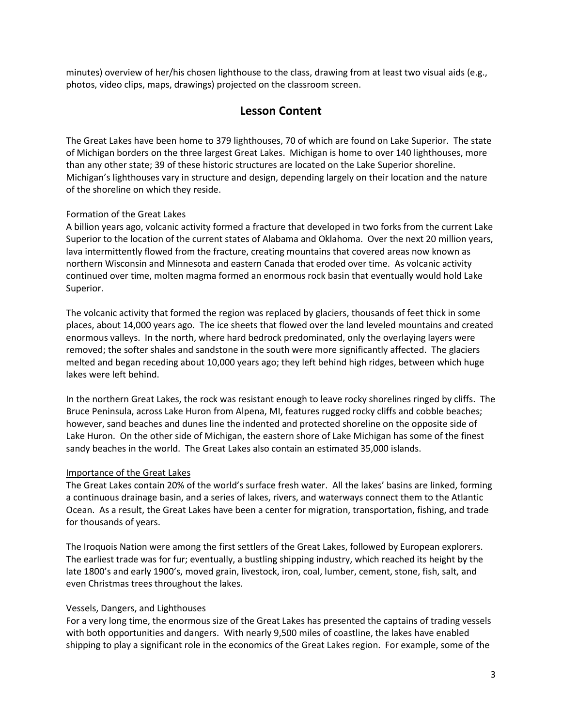minutes) overview of her/his chosen lighthouse to the class, drawing from at least two visual aids (e.g., photos, video clips, maps, drawings) projected on the classroom screen.

# **Lesson Content**

The Great Lakes have been home to 379 lighthouses, 70 of which are found on Lake Superior. The state of Michigan borders on the three largest Great Lakes. Michigan is home to over 140 lighthouses, more than any other state; 39 of these historic structures are located on the Lake Superior shoreline. Michigan's lighthouses vary in structure and design, depending largely on their location and the nature of the shoreline on which they reside.

### Formation of the Great Lakes

A billion years ago, volcanic activity formed a fracture that developed in two forks from the current Lake Superior to the location of the current states of Alabama and Oklahoma. Over the next 20 million years, lava intermittently flowed from the fracture, creating mountains that covered areas now known as northern Wisconsin and Minnesota and eastern Canada that eroded over time. As volcanic activity continued over time, molten magma formed an enormous rock basin that eventually would hold Lake Superior.

The volcanic activity that formed the region was replaced by glaciers, thousands of feet thick in some places, about 14,000 years ago. The ice sheets that flowed over the land leveled mountains and created enormous valleys. In the north, where hard bedrock predominated, only the overlaying layers were removed; the softer shales and sandstone in the south were more significantly affected. The glaciers melted and began receding about 10,000 years ago; they left behind high ridges, between which huge lakes were left behind.

In the northern Great Lakes, the rock was resistant enough to leave rocky shorelines ringed by cliffs. The Bruce Peninsula, across Lake Huron from Alpena, MI, features rugged rocky cliffs and cobble beaches; however, sand beaches and dunes line the indented and protected shoreline on the opposite side of Lake Huron. On the other side of Michigan, the eastern shore of Lake Michigan has some of the finest sandy beaches in the world. The Great Lakes also contain an estimated 35,000 islands.

### Importance of the Great Lakes

The Great Lakes contain 20% of the world's surface fresh water. All the lakes' basins are linked, forming a continuous drainage basin, and a series of lakes, rivers, and waterways connect them to the Atlantic Ocean. As a result, the Great Lakes have been a center for migration, transportation, fishing, and trade for thousands of years.

The Iroquois Nation were among the first settlers of the Great Lakes, followed by European explorers. The earliest trade was for fur; eventually, a bustling shipping industry, which reached its height by the late 1800's and early 1900's, moved grain, livestock, iron, coal, lumber, cement, stone, fish, salt, and even Christmas trees throughout the lakes.

### Vessels, Dangers, and Lighthouses

For a very long time, the enormous size of the Great Lakes has presented the captains of trading vessels with both opportunities and dangers. With nearly 9,500 miles of coastline, the lakes have enabled shipping to play a significant role in the economics of the Great Lakes region. For example, some of the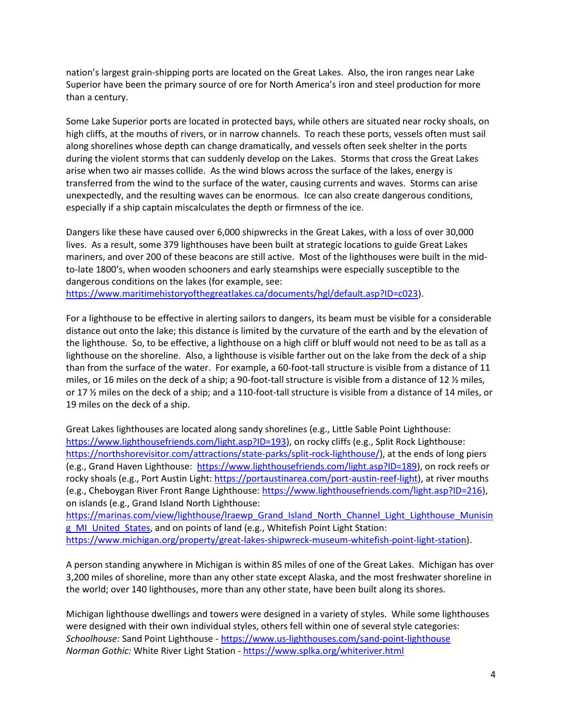nation's largest grain-shipping ports are located on the Great Lakes. Also, the iron ranges near Lake Superior have been the primary source of ore for North America's iron and steel production for more than a century.

Some Lake Superior ports are located in protected bays, while others are situated near rocky shoals, on high cliffs, at the mouths of rivers, or in narrow channels. To reach these ports, vessels often must sail along shorelines whose depth can change dramatically, and vessels often seek shelter in the ports during the violent storms that can suddenly develop on the Lakes. Storms that cross the Great Lakes arise when two air masses collide. As the wind blows across the surface of the lakes, energy is transferred from the wind to the surface of the water, causing currents and waves. Storms can arise unexpectedly, and the resulting waves can be enormous. Ice can also create dangerous conditions, especially if a ship captain miscalculates the depth or firmness of the ice.

Dangers like these have caused over 6,000 shipwrecks in the Great Lakes, with a loss of over 30,000 lives. As a result, some 379 lighthouses have been built at strategic locations to guide Great Lakes mariners, and over 200 of these beacons are still active. Most of the lighthouses were built in the midto-late 1800's, when wooden schooners and early steamships were especially susceptible to the dangerous conditions on the lakes (for example, see:

[https://www.maritimehistoryofthegreatlakes.ca/documents/hgl/default.asp?ID=c023\)](https://www.maritimehistoryofthegreatlakes.ca/documents/hgl/default.asp?ID=c023).

For a lighthouse to be effective in alerting sailors to dangers, its beam must be visible for a considerable distance out onto the lake; this distance is limited by the curvature of the earth and by the elevation of the lighthouse. So, to be effective, a lighthouse on a high cliff or bluff would not need to be as tall as a lighthouse on the shoreline. Also, a lighthouse is visible farther out on the lake from the deck of a ship than from the surface of the water. For example, a 60-foot-tall structure is visible from a distance of 11 miles, or 16 miles on the deck of a ship; a 90-foot-tall structure is visible from a distance of 12 ½ miles, or 17 ½ miles on the deck of a ship; and a 110-foot-tall structure is visible from a distance of 14 miles, or 19 miles on the deck of a ship.

Great Lakes lighthouses are located along sandy shorelines (e.g., Little Sable Point Lighthouse: [https://www.lighthousefriends.com/light.asp?ID=193\)](https://www.lighthousefriends.com/light.asp?ID=193), on rocky cliffs (e.g., Split Rock Lighthouse: [https://northshorevisitor.com/attractions/state-parks/split-rock-lighthouse/\)](https://northshorevisitor.com/attractions/state-parks/split-rock-lighthouse/), at the ends of long piers (e.g., Grand Haven Lighthouse: [https://www.lighthousefriends.com/light.asp?ID=189\)](https://www.lighthousefriends.com/light.asp?ID=189), on rock reefs or rocky shoals (e.g., Port Austin Light[: https://portaustinarea.com/port-austin-reef-light\)](https://portaustinarea.com/port-austin-reef-light), at river mouths (e.g., Cheboygan River Front Range Lighthouse[: https://www.lighthousefriends.com/light.asp?ID=216\)](https://www.lighthousefriends.com/light.asp?ID=216), on islands (e.g., Grand Island North Lighthouse:

https://marinas.com/view/lighthouse/Iraewp\_Grand\_Island\_North\_Channel\_Light\_Lighthouse\_Munisin g MI United States, and on points of land (e.g., Whitefish Point Light Station: [https://www.michigan.org/property/great-lakes-shipwreck-museum-whitefish-point-light-station\)](https://www.michigan.org/property/great-lakes-shipwreck-museum-whitefish-point-light-station).

A person standing anywhere in Michigan is within 85 miles of one of the Great Lakes. Michigan has over 3,200 miles of shoreline, more than any other state except Alaska, and the most freshwater shoreline in the world; over 140 lighthouses, more than any other state, have been built along its shores.

Michigan lighthouse dwellings and towers were designed in a variety of styles. While some lighthouses were designed with their own individual styles, others fell within one of several style categories: *Schoolhouse:* Sand Point Lighthouse - <https://www.us-lighthouses.com/sand-point-lighthouse> *Norman Gothic:* White River Light Station - <https://www.splka.org/whiteriver.html>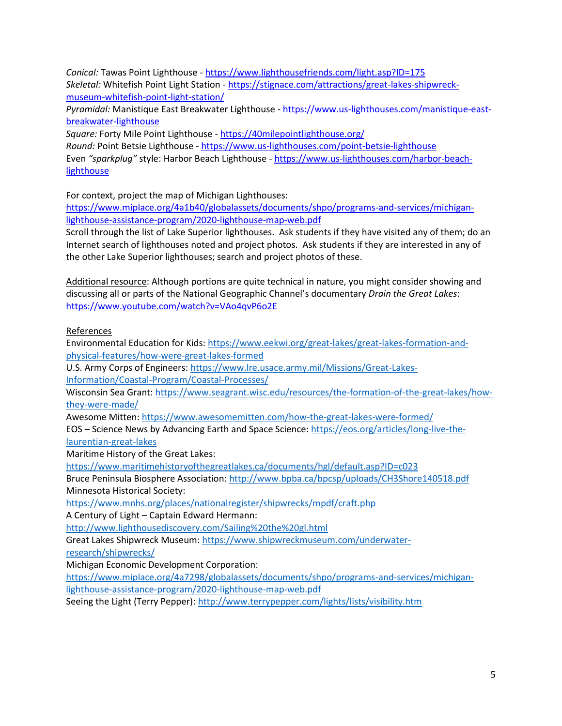*Conical:* Tawas Point Lighthouse - <https://www.lighthousefriends.com/light.asp?ID=175> *Skeletal:* Whitefish Point Light Station - [https://stignace.com/attractions/great-lakes-shipwreck](https://stignace.com/attractions/great-lakes-shipwreck-museum-whitefish-point-light-station/)[museum-whitefish-point-light-station/](https://stignace.com/attractions/great-lakes-shipwreck-museum-whitefish-point-light-station/)

*Pyramidal:* Manistique East Breakwater Lighthouse - [https://www.us-lighthouses.com/manistique-east](https://www.us-lighthouses.com/manistique-east-breakwater-lighthouse)[breakwater-lighthouse](https://www.us-lighthouses.com/manistique-east-breakwater-lighthouse)

*Square:* Forty Mile Point Lighthouse - <https://40milepointlighthouse.org/> *Round:* Point Betsie Lighthouse - <https://www.us-lighthouses.com/point-betsie-lighthouse> Even *"sparkplug"* style: Harbor Beach Lighthouse - [https://www.us-lighthouses.com/harbor-beach](https://www.us-lighthouses.com/harbor-beach-lighthouse)**[lighthouse](https://www.us-lighthouses.com/harbor-beach-lighthouse)** 

For context, project the map of Michigan Lighthouses:

[https://www.miplace.org/4a1b40/globalassets/documents/shpo/programs-and-services/michigan](https://www.miplace.org/4a1b40/globalassets/documents/shpo/programs-and-services/michigan-lighthouse-assistance-program/2020-lighthouse-map-web.pdf)[lighthouse-assistance-program/2020-lighthouse-map-web.pdf](https://www.miplace.org/4a1b40/globalassets/documents/shpo/programs-and-services/michigan-lighthouse-assistance-program/2020-lighthouse-map-web.pdf)

Scroll through the list of Lake Superior lighthouses. Ask students if they have visited any of them; do an Internet search of lighthouses noted and project photos. Ask students if they are interested in any of the other Lake Superior lighthouses; search and project photos of these.

Additional resource: Although portions are quite technical in nature, you might consider showing and discussing all or parts of the National Geographic Channel's documentary *Drain the Great Lakes*: <https://www.youtube.com/watch?v=VAo4qvP6o2E>

References

Environmental Education for Kids: [https://www.eekwi.org/great-lakes/great-lakes-formation-and](https://www.eekwi.org/great-lakes/great-lakes-formation-and-physical-features/how-were-great-lakes-formed)[physical-features/how-were-great-lakes-formed](https://www.eekwi.org/great-lakes/great-lakes-formation-and-physical-features/how-were-great-lakes-formed)

U.S. Army Corps of Engineers[: https://www.lre.usace.army.mil/Missions/Great-Lakes-](https://www.lre.usace.army.mil/Missions/Great-Lakes-Information/Coastal-Program/Coastal-Processes/)[Information/Coastal-Program/Coastal-Processes/](https://www.lre.usace.army.mil/Missions/Great-Lakes-Information/Coastal-Program/Coastal-Processes/)

Wisconsin Sea Grant: [https://www.seagrant.wisc.edu/resources/the-formation-of-the-great-lakes/how](https://www.seagrant.wisc.edu/resources/the-formation-of-the-great-lakes/how-they-were-made/)[they-were-made/](https://www.seagrant.wisc.edu/resources/the-formation-of-the-great-lakes/how-they-were-made/)

Awesome Mitten[: https://www.awesomemitten.com/how-the-great-lakes-were-formed/](https://www.awesomemitten.com/how-the-great-lakes-were-formed/)

EOS – Science News by Advancing Earth and Space Science: [https://eos.org/articles/long-live-the](https://eos.org/articles/long-live-the-laurentian-great-lakes)[laurentian-great-lakes](https://eos.org/articles/long-live-the-laurentian-great-lakes)

Maritime History of the Great Lakes:

https://www.maritimehistoryofthegreatlakes.ca/documents/hgl/default.asp?ID=c023

Bruce Peninsula Biosphere Association[: http://www.bpba.ca/bpcsp/uploads/CH3Shore140518.pdf](http://www.bpba.ca/bpcsp/uploads/CH3Shore140518.pdf) Minnesota Historical Society:

<https://www.mnhs.org/places/nationalregister/shipwrecks/mpdf/craft.php>

A Century of Light – Captain Edward Hermann:

<http://www.lighthousediscovery.com/Sailing%20the%20gl.html>

Great Lakes Shipwreck Museum: [https://www.shipwreckmuseum.com/underwater-](https://www.shipwreckmuseum.com/underwater-research/shipwrecks/)

[research/shipwrecks/](https://www.shipwreckmuseum.com/underwater-research/shipwrecks/)

Michigan Economic Development Corporation:

[https://www.miplace.org/4a7298/globalassets/documents/shpo/programs-and-services/michigan](https://www.miplace.org/4a7298/globalassets/documents/shpo/programs-and-services/michigan-lighthouse-assistance-program/2020-lighthouse-map-web.pdf)[lighthouse-assistance-program/2020-lighthouse-map-web.pdf](https://www.miplace.org/4a7298/globalassets/documents/shpo/programs-and-services/michigan-lighthouse-assistance-program/2020-lighthouse-map-web.pdf)

Seeing the Light (Terry Pepper):<http://www.terrypepper.com/lights/lists/visibility.htm>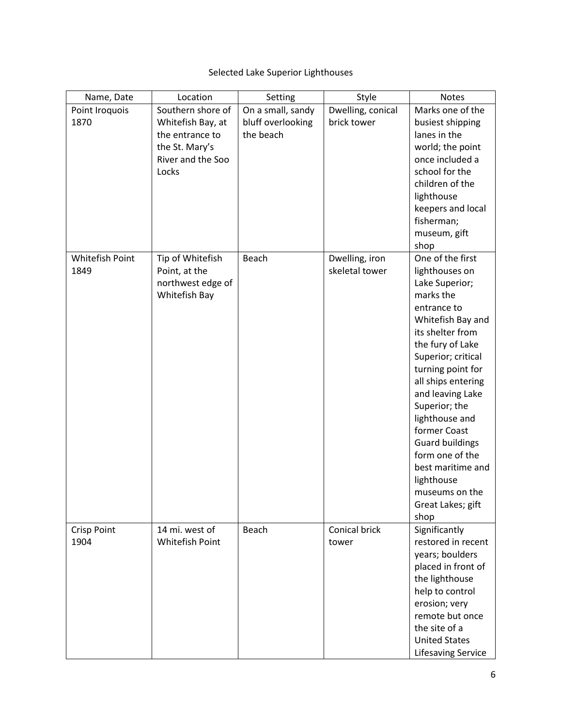# Selected Lake Superior Lighthouses

| Southern shore of<br>Marks one of the<br>On a small, sandy<br>Dwelling, conical<br>Point Iroquois |  |
|---------------------------------------------------------------------------------------------------|--|
| bluff overlooking<br>brick tower<br>1870<br>Whitefish Bay, at<br>busiest shipping                 |  |
| the beach<br>lanes in the<br>the entrance to                                                      |  |
| the St. Mary's<br>world; the point                                                                |  |
| River and the Soo<br>once included a                                                              |  |
| school for the<br>Locks                                                                           |  |
| children of the                                                                                   |  |
| lighthouse                                                                                        |  |
| keepers and local                                                                                 |  |
| fisherman;                                                                                        |  |
| museum, gift                                                                                      |  |
| shop                                                                                              |  |
| One of the first<br>Whitefish Point<br>Tip of Whitefish<br>Beach<br>Dwelling, iron                |  |
| skeletal tower<br>1849<br>Point, at the<br>lighthouses on                                         |  |
| northwest edge of<br>Lake Superior;                                                               |  |
| marks the<br>Whitefish Bay                                                                        |  |
| entrance to                                                                                       |  |
| Whitefish Bay and                                                                                 |  |
| its shelter from                                                                                  |  |
| the fury of Lake                                                                                  |  |
| Superior; critical                                                                                |  |
| turning point for                                                                                 |  |
| all ships entering                                                                                |  |
| and leaving Lake                                                                                  |  |
| Superior; the                                                                                     |  |
| lighthouse and                                                                                    |  |
| former Coast                                                                                      |  |
| <b>Guard buildings</b>                                                                            |  |
| form one of the                                                                                   |  |
| best maritime and                                                                                 |  |
| lighthouse                                                                                        |  |
| museums on the                                                                                    |  |
| Great Lakes; gift                                                                                 |  |
| shop<br>Significantly<br>14 mi. west of<br>Beach<br>Conical brick<br><b>Crisp Point</b>           |  |
| restored in recent<br>1904<br>Whitefish Point<br>tower                                            |  |
| years; boulders                                                                                   |  |
| placed in front of                                                                                |  |
| the lighthouse                                                                                    |  |
| help to control                                                                                   |  |
| erosion; very                                                                                     |  |
| remote but once                                                                                   |  |
| the site of a                                                                                     |  |
| <b>United States</b>                                                                              |  |
| <b>Lifesaving Service</b>                                                                         |  |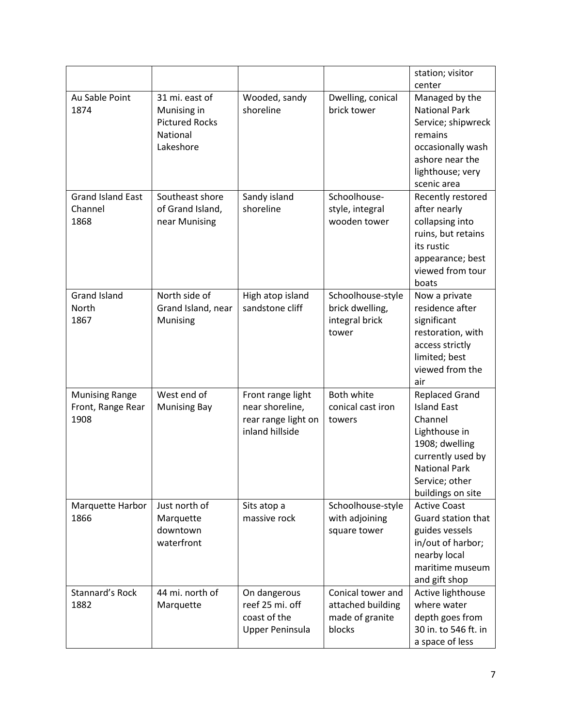|                                                    |                                                                                 |                                                                                |                                                                     | station; visitor                                                                                                                                                              |
|----------------------------------------------------|---------------------------------------------------------------------------------|--------------------------------------------------------------------------------|---------------------------------------------------------------------|-------------------------------------------------------------------------------------------------------------------------------------------------------------------------------|
|                                                    |                                                                                 |                                                                                |                                                                     | center                                                                                                                                                                        |
| Au Sable Point<br>1874                             | 31 mi. east of<br>Munising in<br><b>Pictured Rocks</b><br>National<br>Lakeshore | Wooded, sandy<br>shoreline                                                     | Dwelling, conical<br>brick tower                                    | Managed by the<br><b>National Park</b><br>Service; shipwreck<br>remains<br>occasionally wash<br>ashore near the<br>lighthouse; very<br>scenic area                            |
| <b>Grand Island East</b><br>Channel<br>1868        | Southeast shore<br>of Grand Island,<br>near Munising                            | Sandy island<br>shoreline                                                      | Schoolhouse-<br>style, integral<br>wooden tower                     | Recently restored<br>after nearly<br>collapsing into<br>ruins, but retains<br>its rustic<br>appearance; best<br>viewed from tour<br>boats                                     |
| <b>Grand Island</b><br>North<br>1867               | North side of<br>Grand Island, near<br>Munising                                 | High atop island<br>sandstone cliff                                            | Schoolhouse-style<br>brick dwelling,<br>integral brick<br>tower     | Now a private<br>residence after<br>significant<br>restoration, with<br>access strictly<br>limited; best<br>viewed from the<br>air                                            |
| <b>Munising Range</b><br>Front, Range Rear<br>1908 | West end of<br><b>Munising Bay</b>                                              | Front range light<br>near shoreline,<br>rear range light on<br>inland hillside | Both white<br>conical cast iron<br>towers                           | <b>Replaced Grand</b><br><b>Island East</b><br>Channel<br>Lighthouse in<br>1908; dwelling<br>currently used by<br><b>National Park</b><br>Service; other<br>buildings on site |
| Marquette Harbor<br>1866                           | Just north of<br>Marquette<br>downtown<br>waterfront                            | Sits atop a<br>massive rock                                                    | Schoolhouse-style<br>with adjoining<br>square tower                 | <b>Active Coast</b><br>Guard station that<br>guides vessels<br>in/out of harbor;<br>nearby local<br>maritime museum<br>and gift shop                                          |
| Stannard's Rock<br>1882                            | 44 mi. north of<br>Marquette                                                    | On dangerous<br>reef 25 mi. off<br>coast of the<br><b>Upper Peninsula</b>      | Conical tower and<br>attached building<br>made of granite<br>blocks | Active lighthouse<br>where water<br>depth goes from<br>30 in. to 546 ft. in<br>a space of less                                                                                |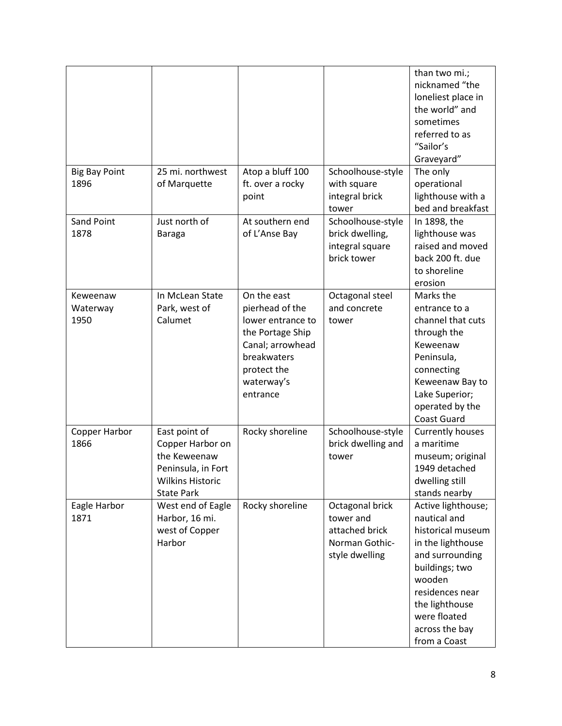|                              |                                                                                                                         |                                                                                                                                                     |                                                                                    | than two mi.;<br>nicknamed "the<br>loneliest place in<br>the world" and<br>sometimes<br>referred to as<br>"Sailor's<br>Graveyard"                                                                                  |
|------------------------------|-------------------------------------------------------------------------------------------------------------------------|-----------------------------------------------------------------------------------------------------------------------------------------------------|------------------------------------------------------------------------------------|--------------------------------------------------------------------------------------------------------------------------------------------------------------------------------------------------------------------|
| <b>Big Bay Point</b><br>1896 | 25 mi. northwest<br>of Marquette                                                                                        | Atop a bluff 100<br>ft. over a rocky<br>point                                                                                                       | Schoolhouse-style<br>with square<br>integral brick<br>tower                        | The only<br>operational<br>lighthouse with a<br>bed and breakfast                                                                                                                                                  |
| <b>Sand Point</b><br>1878    | Just north of<br><b>Baraga</b>                                                                                          | At southern end<br>of L'Anse Bay                                                                                                                    | Schoolhouse-style<br>brick dwelling,<br>integral square<br>brick tower             | In 1898, the<br>lighthouse was<br>raised and moved<br>back 200 ft. due<br>to shoreline<br>erosion                                                                                                                  |
| Keweenaw<br>Waterway<br>1950 | In McLean State<br>Park, west of<br>Calumet                                                                             | On the east<br>pierhead of the<br>lower entrance to<br>the Portage Ship<br>Canal; arrowhead<br>breakwaters<br>protect the<br>waterway's<br>entrance | Octagonal steel<br>and concrete<br>tower                                           | Marks the<br>entrance to a<br>channel that cuts<br>through the<br>Keweenaw<br>Peninsula,<br>connecting<br>Keweenaw Bay to<br>Lake Superior;<br>operated by the<br><b>Coast Guard</b>                               |
| Copper Harbor<br>1866        | East point of<br>Copper Harbor on<br>the Keweenaw<br>Peninsula, in Fort<br><b>Wilkins Historic</b><br><b>State Park</b> | Rocky shoreline                                                                                                                                     | Schoolhouse-style<br>brick dwelling and<br>tower                                   | <b>Currently houses</b><br>a maritime<br>museum; original<br>1949 detached<br>dwelling still<br>stands nearby                                                                                                      |
| Eagle Harbor<br>1871         | West end of Eagle<br>Harbor, 16 mi.<br>west of Copper<br>Harbor                                                         | Rocky shoreline                                                                                                                                     | Octagonal brick<br>tower and<br>attached brick<br>Norman Gothic-<br>style dwelling | Active lighthouse;<br>nautical and<br>historical museum<br>in the lighthouse<br>and surrounding<br>buildings; two<br>wooden<br>residences near<br>the lighthouse<br>were floated<br>across the bay<br>from a Coast |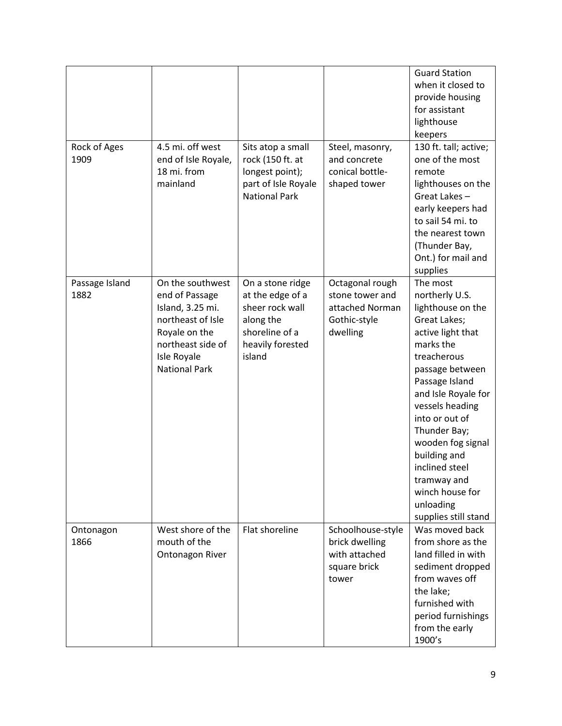| Rock of Ages<br>1909   | 4.5 mi. off west<br>end of Isle Royale,<br>18 mi. from<br>mainland                                                                                       | Sits atop a small<br>rock (150 ft. at<br>longest point);<br>part of Isle Royale<br><b>National Park</b>              | Steel, masonry,<br>and concrete<br>conical bottle-<br>shaped tower                | <b>Guard Station</b><br>when it closed to<br>provide housing<br>for assistant<br>lighthouse<br>keepers<br>130 ft. tall; active;<br>one of the most<br>remote<br>lighthouses on the<br>Great Lakes-<br>early keepers had<br>to sail 54 mi. to<br>the nearest town<br>(Thunder Bay,<br>Ont.) for mail and<br>supplies                                             |
|------------------------|----------------------------------------------------------------------------------------------------------------------------------------------------------|----------------------------------------------------------------------------------------------------------------------|-----------------------------------------------------------------------------------|-----------------------------------------------------------------------------------------------------------------------------------------------------------------------------------------------------------------------------------------------------------------------------------------------------------------------------------------------------------------|
| Passage Island<br>1882 | On the southwest<br>end of Passage<br>Island, 3.25 mi.<br>northeast of Isle<br>Royale on the<br>northeast side of<br>Isle Royale<br><b>National Park</b> | On a stone ridge<br>at the edge of a<br>sheer rock wall<br>along the<br>shoreline of a<br>heavily forested<br>island | Octagonal rough<br>stone tower and<br>attached Norman<br>Gothic-style<br>dwelling | The most<br>northerly U.S.<br>lighthouse on the<br>Great Lakes;<br>active light that<br>marks the<br>treacherous<br>passage between<br>Passage Island<br>and Isle Royale for<br>vessels heading<br>into or out of<br>Thunder Bay;<br>wooden fog signal<br>building and<br>inclined steel<br>tramway and<br>winch house for<br>unloading<br>supplies still stand |
| Ontonagon<br>1866      | West shore of the<br>mouth of the<br><b>Ontonagon River</b>                                                                                              | Flat shoreline                                                                                                       | Schoolhouse-style<br>brick dwelling<br>with attached<br>square brick<br>tower     | Was moved back<br>from shore as the<br>land filled in with<br>sediment dropped<br>from waves off<br>the lake;<br>furnished with<br>period furnishings<br>from the early<br>1900's                                                                                                                                                                               |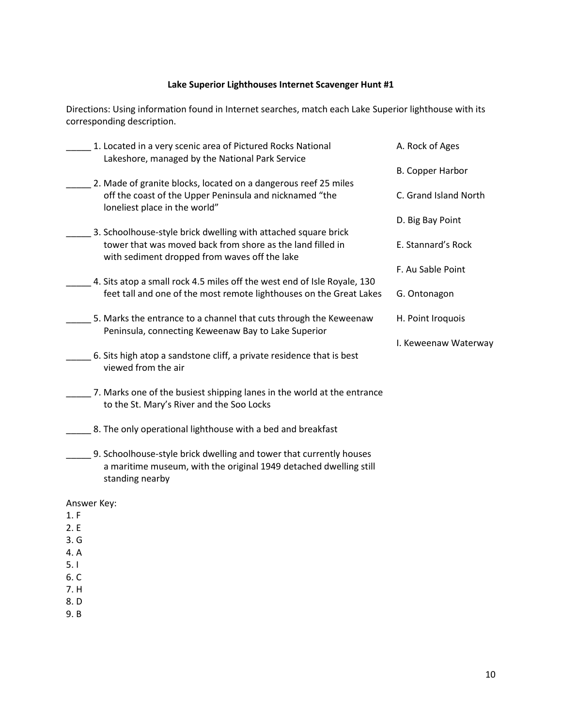#### **Lake Superior Lighthouses Internet Scavenger Hunt #1**

Directions: Using information found in Internet searches, match each Lake Superior lighthouse with its corresponding description.

| 1. Located in a very scenic area of Pictured Rocks National<br>Lakeshore, managed by the National Park Service | A. Rock of Ages         |
|----------------------------------------------------------------------------------------------------------------|-------------------------|
|                                                                                                                | <b>B. Copper Harbor</b> |
| 2. Made of granite blocks, located on a dangerous reef 25 miles                                                |                         |
| off the coast of the Upper Peninsula and nicknamed "the<br>loneliest place in the world"                       | C. Grand Island North   |
|                                                                                                                | D. Big Bay Point        |
| 3. Schoolhouse-style brick dwelling with attached square brick                                                 |                         |
| tower that was moved back from shore as the land filled in<br>with sediment dropped from waves off the lake    | E. Stannard's Rock      |
|                                                                                                                | F. Au Sable Point       |
| 4. Sits atop a small rock 4.5 miles off the west end of Isle Royale, 130                                       |                         |
| feet tall and one of the most remote lighthouses on the Great Lakes                                            | G. Ontonagon            |
| 5. Marks the entrance to a channel that cuts through the Keweenaw                                              | H. Point Iroquois       |
| Peninsula, connecting Keweenaw Bay to Lake Superior                                                            |                         |
|                                                                                                                | I. Keweenaw Waterway    |
| 6. Sits high atop a sandstone cliff, a private residence that is best<br>viewed from the air                   |                         |
| 7. Marks one of the busiest shipping lanes in the world at the entrance                                        |                         |
| to the St. Mary's River and the Soo Locks                                                                      |                         |

\_\_\_\_\_ 8. The only operational lighthouse with a bed and breakfast

\_\_\_\_\_ 9. Schoolhouse-style brick dwelling and tower that currently houses a maritime museum, with the original 1949 detached dwelling still standing nearby

Answer Key:

- 1. F
- 2. E
- 3. G
- 4. A
- 5. I
- 6. C
- 7. H
- 8. D
- 9. B